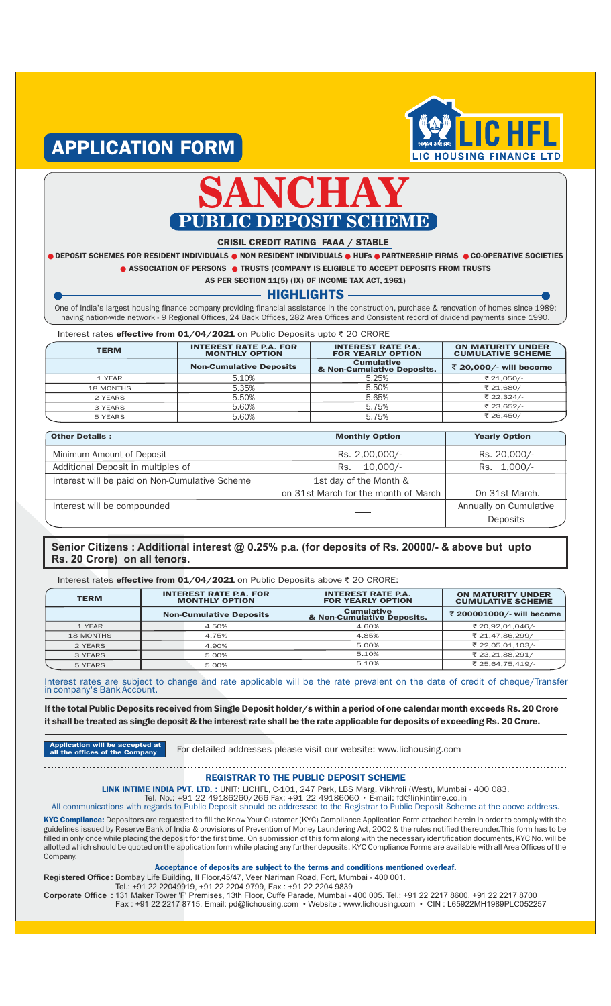

# APPLICATION FORM



### CRISIL CREDIT RATING FAAA / STABLE

O DEPOSIT SCHEMES FOR RESIDENT INDIVIDUALS O NON RESIDENT INDIVIDUALS O HUFs O PARTNERSHIP FIRMS O CO-OPERATIVE SOCIETIES **ASSOCIATION OF PERSONS @ TRUSTS (COMPANY IS ELIGIBLE TO ACCEPT DEPOSITS FROM TRUSTS** 

AS PER SECTION 11(5) (IX) OF INCOME TAX ACT, 1961)

### HIGHLIGHTS

One of India's largest housing finance company providing financial assistance in the construction, purchase & renovation of homes since 1989; having nation-wide network - 9 Regional Offices, 24 Back Offices, 282 Area Offices and Consistent record of dividend payments since 1990.

Interest rates effective from 01/04/2021 on Public Deposits upto  $\bar{\tau}$  20 CRORE

| <b>TERM</b>      | <b>INTEREST RATE P.A. FOR</b><br><b>MONTHLY OPTION</b> | <b>INTEREST RATE P.A.</b><br><b>FOR YEARLY OPTION</b> | <b>ON MATURITY UNDER</b><br><b>CUMULATIVE SCHEME</b> |
|------------------|--------------------------------------------------------|-------------------------------------------------------|------------------------------------------------------|
|                  | <b>Non-Cumulative Deposits</b>                         | <b>Cumulative</b><br>& Non-Cumulative Deposits.       | ₹ 20,000/- will become                               |
| 1 YEAR           | 5.10%                                                  | 5.25%                                                 | ₹ 21,050/-                                           |
| <b>18 MONTHS</b> | 5.35%                                                  | 5.50%                                                 | ₹ 21,680/-                                           |
| 2 YEARS          | 5.50%                                                  | 5.65%                                                 | ₹ 22,324/-                                           |
| 3 YEARS          | 5.60%                                                  | 5.75%                                                 | ₹ 23,652/-                                           |
| 5 YEARS          | 5.60%                                                  | 5.75%                                                 | ₹ 26,450/-                                           |

| <b>Other Details:</b>                          | <b>Monthly Option</b>                | <b>Yearly Option</b>   |
|------------------------------------------------|--------------------------------------|------------------------|
| Minimum Amount of Deposit                      | Rs. 2,00,000/-                       | Rs. 20,000/-           |
| Additional Deposit in multiples of             | $10.000/-$<br>Rs.                    | Rs. 1,000/-            |
| Interest will be paid on Non-Cumulative Scheme | 1st day of the Month &               |                        |
|                                                | on 31st March for the month of March | On 31st March.         |
| Interest will be compounded                    |                                      | Annually on Cumulative |
|                                                |                                      | Deposits               |

## **Senior Citizens : Additional interest @ 0.25% p.a. (for deposits of Rs. 20000/- & above but upto Rs. 20 Crore) on all tenors.**

Interest rates effective from 01/04/2021 on Public Deposits above  $\bar{\tau}$  20 CRORE:

| <b>TERM</b>      | <b>INTEREST RATE P.A. FOR</b><br><b>MONTHLY OPTION</b> | <b>INTEREST RATE P.A.</b><br><b>FOR YEARLY OPTION</b> | <b>ON MATURITY UNDER</b><br><b>CUMULATIVE SCHEME</b> |
|------------------|--------------------------------------------------------|-------------------------------------------------------|------------------------------------------------------|
|                  | <b>Non-Cumulative Deposits</b>                         | <b>Cumulative</b><br>& Non-Cumulative Deposits.       | ₹ 200001000/- will become                            |
| 1 YEAR           | 4.50%                                                  | 4.60%                                                 | ₹ 20,92,01,046/-                                     |
| <b>18 MONTHS</b> | 4.75%                                                  | 4.85%                                                 | ₹ 21,47,86,299/-                                     |
| 2 YEARS          | 4.90%                                                  | 5.00%                                                 | ₹ 22.05.01.103/-                                     |
| 3 YEARS          | 5.00%                                                  | 5.10%                                                 | ₹ 23,21,88,291/-                                     |
| 5 YEARS          | 5.00%                                                  | 5.10%                                                 | ₹ 25,64,75,419/-                                     |

Interest rates are subject to change and rate applicable will be the rate prevalent on the date of credit of cheque/Transfer in company's Bank Account.

If the total Public Deposits received from Single Deposit holder/s within a period of one calendar month exceeds Rs. 20 Crore it shall be treated as single deposit & the interest rate shall be the rate applicable for deposits of exceeding Rs. 20 Crore.

| Application will be accepted at |    |
|---------------------------------|----|
| all the offices of the Company  | Fo |

r detailed addresses please visit our website: www.lichousing.com

REGISTRAR TO THE PUBLIC DEPOSIT SCHEME

LINK INTIME INDIA PVT. LTD. : UNIT: LICHFL, C-101, 247 Park, LBS Marg, Vikhroli (West), Mumbai - 400 083.

Tel. No.: +91 22 49186260/266 Fax: +91 22 49186060 • E-mail: fd@linkintime.co.in

All communications with regards to Public Deposit should be addressed to the Registrar to Public Deposit Scheme at the above address. KYC Compliance: Depositors are requested to fill the Know Your Customer (KYC) Compliance Application Form attached herein in order to comply with the guidelines issued by Reserve Bank of India & provisions of Prevention of Money Laundering Act, 2002 & the rules notified thereunder.This form has to be filled in only once while placing the deposit for the first time. On submission of this form along with the necessary identification documents, KYC No. will be allotted which should be quoted on the application form while placing any further deposits. KYC Compliance Forms are available with all Area Offices of the Company.

Acceptance of deposits are subject to the terms and conditions mentioned overleaf.

**Registered Office :** Bombay Life Building, II Floor,45/47, Veer Nariman Road, Fort, Mumbai - 400 001. Tel.: +91 22 22049919, +91 22 2204 9799, Fax : +91 22 2204 9839 +91 22 22049919,

**Corporate Office :** 131 Maker Tower 'F' Premises, 13th Floor, Cuffe Parade, Mumbai - 400 005. Tel.: +91 22 2217 8600, +91 22 2217 8700

Fax : +91 22 2217 8715, Email: pd@lichousing.com • Website : www.lichousing.com • CIN : L65922MH1989PLC052257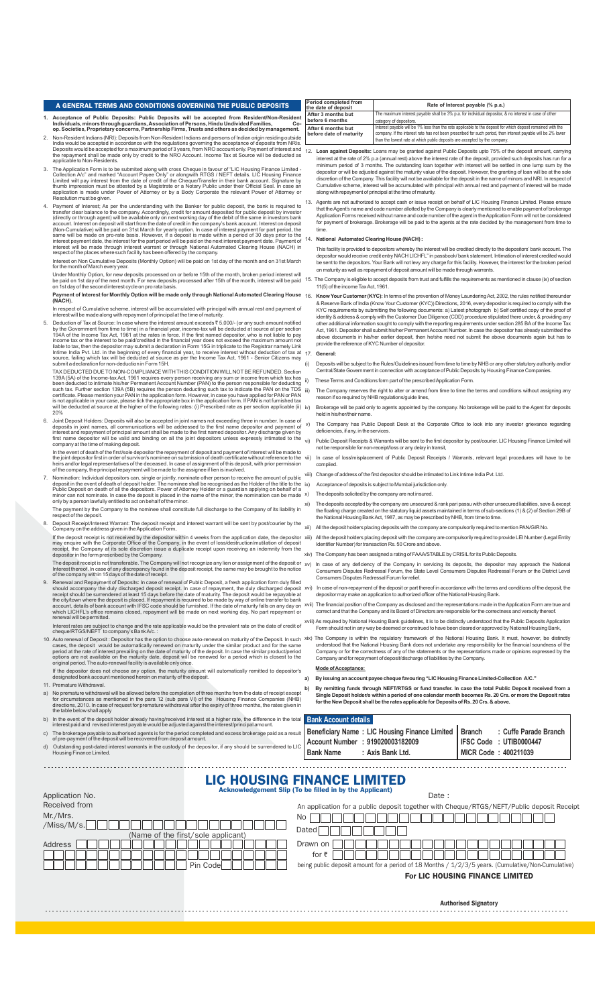## **A GENERAL TERMS AND CONDITIONS GOVERNING THE PUBLIC DEPOSITS** Period completed from **Rate of Interest payable (% p.a.)**

- 1. Acceptance of Public Deposits: Public Deposits will be accepted from Resident/Non-Resident<br>Individuals, minors through guardians, Association of Persons, Hindu Undividuals, minors through guardian<br>- p. Societies, Propri
- 2. Non-Resident Indians (NRI): Deposits from Non-Resident Indians and persons of Indian origin residing outside<br>India would be accepted in accordance with the regulations governing the acceptance of deposits from NRIs.<br>Dep
- 3. The Application Form is to be submited along with cross Cheque in favour of "LIC Housing Finance Limited -<br>Collection Ac'' and marked "Account Payee Only" or alongwith RTGS / NEFT details. LIC Housing Finance<br>Limited wi
- 4. Payment of Interest; As per the understanding with the Banker for public deposit, the bank is required to transfer clear balance to the company. Accordingly, credit for amount deposited for public deposit by investor (d

Interest on Non Cumulative Deposits (Monthly Option) will be paid on 1st day of the month and on 31st March for the month of March every year.

Under Monthly Option, for new deposits processed on or before 15th of the month, broken period interest will<br>be paid on 1st day of the next month. For new deposits processed after 15th of the month, interest will be paid<br>o

**Payment of Interest for Monthly Option will be made only through National Automated Clearing House**  $\frac{16}{16}$ Paymen<br>(NACH).

the sepect of Cumulative scheme, interest will be accumulated with principal with annual rest and payn<br>Interest will be made along with repayment of principal at the time of maturity. interest will be made along with repayment of principal at the time of maturity.

5. Deduction of Tax at Source: In case where the interest amount exceeds  $\bar{\tau}$  5,000/- (or any such amount notified<br>by the Government from time to time) in a financial year, income-lax will be deducted at source at per

TAX DEDUCTED DUE TO NON-COMPLIANCE WITH THIS CONDITION WILL NOT BE REFUNDED. Section<br>139A (5A) of the Income-tax Act, 1961 requires every person receiving any sum or income from which tax has<br>been deducted to infinate hish

- 6. Joint Deposit Holders: Deposits will also be accepted in joint names not exceeding three in number. In case of deposits in joint names all communications will be addressed to the first name depositor and payment of depo manie depositor will be value and
- In the event of death of the first/sole depositor the repayment of deposit and payment of interest will be made to<br>the joint depositor first in order of survivor/s nominee on submission of death certificate without referen
- 7. Nomination: Individual depositions can, single or jointly, nominate other person to receive the amount of public<br>deposit in the event of death of deposit holder. The nominee shall be recognised as the Holder of the titl
- The payment by the Company to the nominee shall constitute full discharge to the Company of its liability in respect of the deposit.
- 8. Deposit Receipt/Interest Warrant: The deposit receipt and interest warrant will be sent by post/courier by the Company on the address given in the Application Form, If the deposit receipt is not received by the depositor within 4 weeks from the application date, the depositor<br>may enquire with the Corporate Office of the Company, in the event of loss/destruction/mutilation of deposit<br>
- 
- The deposit receipt is not transferable. The Company will not recognize any lien or assignment of the deposit or<br>Interest thereof. In case of any discrepancy found in the deposit receipt, the same may be brought to the not
- 9. Renewal and Repayment of Deposits: In case of renewal of Public Deposit, a fresh application form duly filled<br>should accompany the duly discharged deposit receipt. In case of repayment, the duly discharged deposit<br>recei which LICHFL's office remains closed, repayment will be made on next working day. No part repay<br>which LICHFL's office remains closed, repayment will be made on next working day. No part repay renewal will be permitted.

Interest rates are subject to change and the rate applicable would be the prevalent rate on the date of credit of cheque/RTGS/NEFT to company's Bank A/c. :

- 10. Auto renewal of Deposit : Depositor has the option to choose auto-renewal on maturity of the Deposit. In such<br>cases, the deposit would be automatically renewed on maturity under the similar product and for the same<br>per
- If the depositor does not choose any option, the maturity amount will automatically remitted to depositor's designated bank account mentioned herein on maturity of the deposit. 11. Premature Withdrawal.
- a) No premature withdrawal will be allowed before the completion of three months from the date of receipt except<br>for circumstances as mentioned in the para 12 (sub para VI) of the Housing Finance Companies (NHB)<br>directions **Bank Account details**
- b) In the event of the deposit holder already having/received interest at a higher rate, the difference in the total interest paid and revised interest payable would be adjusted against the interest/principal amount.
- c) The brokerage payable to authorised agents is for the period completed and excess brokerage paid as a result of pre-payment of the deposit will be recovered from deposit amount. **Beneficiary Name : LIC Housing Finance Limited Account Number : 919020003182009**
- d) Outstanding post-dated interest warrants in the custody of the depositor, if any should be surrendered to LIC Housing Finance Limited.

| the date of deposit                           | Rate of interest payable (% p.a.)                                                                                                                                                                                                                                                                           |
|-----------------------------------------------|-------------------------------------------------------------------------------------------------------------------------------------------------------------------------------------------------------------------------------------------------------------------------------------------------------------|
| After 3 months but                            | The maximum interest payable shall be 3% p.a. for individual depositor, & no interest in case of other                                                                                                                                                                                                      |
| before 6 months                               | category of depositors.                                                                                                                                                                                                                                                                                     |
| After 6 months but<br>before date of maturity | Interest payable will be 1% less than the rate applicable to the deposit for which deposit remained with the<br>company. If the interest rate has not been prescribed for such period, then interest payable will be 2% lower<br>than the lowest rate at which public deposits are accepted by the company. |

- 12. Loan against Deposits: Loans may be granted against Public Deposits upto 75% of the deposit amount, carrying<br>interest at the rate of 2% p.a (annual rest) above the interest rate of the deposit, provided such deposits h along with repayment of principal at the time of maturity.
- 13. Agents are not authorized to accept cash or issue receipt on behalf of LIC Housing Finance Limited. Please ensure that the Agent's name and code number allotted by the Company is clearly mentioned to enable payment of brokerage<br>Application Forms received without name and code number of the agent in the Application Form will not be con time

#### 14. **National Automated Clearing House (NACH) :**

This facility is provided to depositors whereby the interest will be credited directly to the depositors' bank account. The depositor would receive credit entry NACH LICHFL" in passbook/ bank statement. Intimation of inte be sent to the depositors. Your Bank will not levy any charge for this facility. However, the interest for the broken period on maturity as well as repayment of deposit amount will be made through warrants.

יווי 15. The Company is eligible to accept deposits from trust and fulfills the requirements as mentioned in clause (ix) of section 11(5) of the income Tax Act, 1961.

Know Your Customer (KYC): In terms of the prevention of Money Laundering Act, 2002, the rules notified thereunder & Reserve Bank of India (Know Your Customer (KYC)) Directions, 2016, every depositor is required to comply with the<br>KYC requirements by submitting the following documents: a) Latest photograph b) Self certified copy of the above documents in his/her earlier deposit, then he/she need not submit the above documents again but has to provide the reference of KYC Number of depositor.

### 17. **General:**

(i) Deposits will be subject to the Rules/Guidelines issued from time to time by NHB or any other statutory authority and/or Central/State Government in connection with acceptance of Public Deposits by Housing Finance Companies.

These Terms and Conditions form part of the prescribed Application Form.

The Company reserves the right to alter or amend from time to time the terms and conditions without assigning any reason if so required by NHB regulations/guide lines,

- Brokerage will be paid only to agents appointed by the company. No brokerage will be paid to the Agent for deposits held in his/her/their name.
- v) The Company has Public Deposit Desk at the Corporate Office to look into any investor grievance regarding deficiencies, if any, in the services.
- vi) Public Deposit Receipts & Warrants will be sent to the first depositor by post/courier. LIC Housing Finance Limited will not be responsible for non-receipt/loss or any delay in transit,
- vii) In case of loss/misplacement of Public Deposit Receipts / Warrants, relevant legal procedures will have to be complied.
- viii) Change of address of the first depositor should be intimated to Link Intime India Pvt. Ltd.
- ix) Acceptance of deposits is subject to Mumbai jurisdiction only.
- x) The deposits solicited by the company are not insured.
- xi) The deposits accepted by the company are unsecured & rank pari passu with other unsecured liabilities, save & ex the floating charge created on the statutory liquid assets maintained in terms of sub-sections (1) & (2) of Section 29B of<br>the National Housing Bank Act, 1987, as may be prescribed by NHB, from time to time.
- xii) All the deposit holders placing deposits with the company are compulsorily required to mention PAN/GIR No.
- All the deposit holders placing deposit with the company are compulsorily required to provide LEI Number (Legal Entity Identifier Number) for transaction Rs. 50 Crore and above.
- The Company has been assigned a rating of FAAA/STABLE by CRISILfor its Public Deposits.
- <sup>or</sup> xv) In case of any deficiency of the Company in servicing its deposits, the depositor may approach the National Consumers Disputes Redressal Forum, the State Level Consumers Disputes Redressal Forum or the District Level Consumers Disputes Redressal Forum for relief.
	- xvi) In case of non-repayment of the deposit or part thereof in accordance with the terms and conditions of the deposit, the depositor may make an application to authorized officer of the National Housing Bank.
- xvii) The financial position of the Company as disclosed and the representations made in the Application Form are true and correct and that the Company and its Board of Directors are responsible for the correctness and veracity thereof.
- xviii) As required by National Housing Bank guidelines, it is to be distinctly understood that the Public Deposits Application<br>Form should not in any way be deemed or construed to have been cleared or approved by National
- xix) The Company is within the regulatory framework of the National Housing Bank. It must, however, be distinctly understood that the National Housing Bank does not undertake any responsibility for the financial soundness

#### **Mode of Acceptance:**

**a) By issuing an account payee cheque favouring "LIC Housing Finance Limited-Collection A/C."**

**: Axis Bank Ltd.**

b) By remitting funds through NEFT/RTGS or fund transfer. In case the total Public Deposit received from a<br>Single Deposit holder/s within a period of one calendar month becomes Rs. 20 Crs. or more the Deposit rates<br>for the

### LIC HOUSING FINANCE LIMITED Acknowledgement Slip (To be filled in by the Applicant)

**Bank Name**

| Application No.                    | Date:                                                                                              |
|------------------------------------|----------------------------------------------------------------------------------------------------|
| Received from                      | An application for a public deposit together with Cheque/RTGS/NEFT/Public deposit Receipt          |
| Mr./Mrs.<br>/Miss/M/s.             | No                                                                                                 |
| (Name of the first/sole applicant) | Dated                                                                                              |
| Address                            | Drawn on                                                                                           |
|                                    | for ₹                                                                                              |
| Pin Code                           | being public deposit amount for a period of 18 Months / 1/2/3/5 years. (Cumulative/Non-Cumulative) |
|                                    |                                                                                                    |

For LIC HOUSING FINANCE LIMITED

**Branch**

**IFSC Code : UTIB0000447 MICR Code : 400211039**

**: Cuffe Parade Branch**

Authorised Signatory . . . . . . . . . . . . . . . . . . . .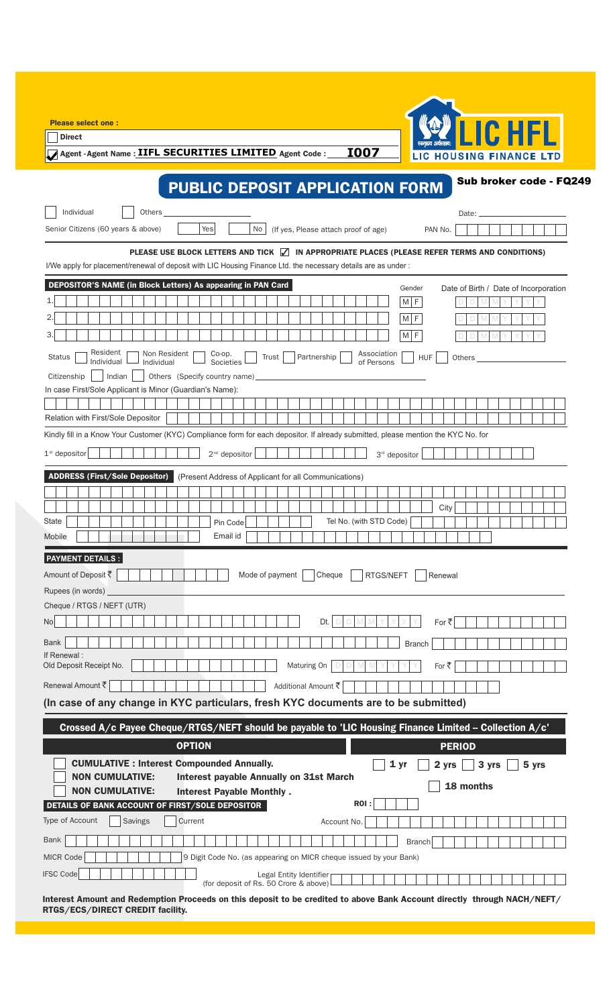| <b>Please select one:</b>                                                                                                                                                 |
|---------------------------------------------------------------------------------------------------------------------------------------------------------------------------|
| <b>ICHEL</b><br><b>Direct</b>                                                                                                                                             |
| खगहाव अर्थसहाव:<br>Agent - Agent Name: IIFL SECURITIES LIMITED Agent Code:<br><b>I007</b><br>LIC HOUSING FINANCE LTD                                                      |
|                                                                                                                                                                           |
| Sub broker code - FQ249<br><b>PUBLIC DEPOSIT APPLICATION FORM</b>                                                                                                         |
|                                                                                                                                                                           |
| Individual<br>Others<br>Date:                                                                                                                                             |
| Yes<br>Senior Citizens (60 years & above)<br>(If yes, Please attach proof of age)<br>No<br>PAN No.                                                                        |
| PLEASE USE BLOCK LETTERS AND TICK  √ IN APPROPRIATE PLACES (PLEASE REFER TERMS AND CONDITIONS)                                                                            |
| I/We apply for placement/renewal of deposit with LIC Housing Finance Ltd. the necessary details are as under:                                                             |
| DEPOSITOR'S NAME (in Block Letters) As appearing in PAN Card<br>Date of Birth / Date of Incorporation<br>Gender                                                           |
| M F                                                                                                                                                                       |
| M F                                                                                                                                                                       |
| $M$ $F$                                                                                                                                                                   |
| Resident<br>Non Resident<br>Co-op.<br>Association<br><b>HUF</b><br>Partnership<br><b>Status</b><br>Trust<br>Others<br>Individual<br>of Persons<br>Individual<br>Societies |
| Indian<br>Citizenship<br>Others (Specify country name)                                                                                                                    |
| In case First/Sole Applicant is Minor (Guardian's Name):                                                                                                                  |
|                                                                                                                                                                           |
| Relation with First/Sole Depositor                                                                                                                                        |
| Kindly fill in a Know Your Customer (KYC) Compliance form for each depositor. If already submitted, please mention the KYC No. for                                        |
| $1st$ depositor<br>2 <sup>nd</sup> depositor<br>3 <sup>rd</sup> depositor                                                                                                 |
| <b>ADDRESS (First/Sole Depositor)</b><br>(Present Address of Applicant for all Communications)                                                                            |
|                                                                                                                                                                           |
| City                                                                                                                                                                      |
| Tel No. (with STD Code)<br><b>State</b><br>Pin Code<br>Email id                                                                                                           |
| Mobile                                                                                                                                                                    |
| <b>PAYMENT DETAILS:</b>                                                                                                                                                   |
| Amount of Deposit ₹<br>RTGS/NEFT<br>Mode of payment<br>Cheque<br>Renewal                                                                                                  |
| Rupees (in words)                                                                                                                                                         |
| Cheque / RTGS / NEFT (UTR)                                                                                                                                                |
| Dt.<br>No<br>For ₹                                                                                                                                                        |
| <b>Bank</b><br><b>Branch</b><br>If Renewal:                                                                                                                               |
| Old Deposit Receipt No.<br>Maturing On<br>For ₹                                                                                                                           |
| Renewal Amount ₹<br>Additional Amount そ                                                                                                                                   |
| (In case of any change in KYC particulars, fresh KYC documents are to be submitted)                                                                                       |
| Crossed A/c Payee Cheque/RTGS/NEFT should be payable to 'LIC Housing Finance Limited - Collection A/c'                                                                    |
| <b>OPTION</b><br><b>PERIOD</b>                                                                                                                                            |
| <b>CUMULATIVE : Interest Compounded Annually.</b><br>1 <sub>yr</sub><br>3 yrs<br>5 yrs<br>2 yrs                                                                           |
| <b>NON CUMULATIVE:</b><br><b>Interest payable Annually on 31st March</b><br>18 months                                                                                     |
| <b>NON CUMULATIVE:</b><br><b>Interest Payable Monthly.</b>                                                                                                                |
| ROI:<br>DETAILS OF BANK ACCOUNT OF FIRST/SOLE DEPOSITOR                                                                                                                   |
| Type of Account<br>Current<br>Savings<br>Account No.                                                                                                                      |
| <b>Bank</b><br><b>Branch</b>                                                                                                                                              |
| MICR Code<br>9 Digit Code No. (as appearing on MICR cheque issued by your Bank)                                                                                           |
| <b>IFSC Code</b><br>Legal Entity Identifier<br>(for deposit of Rs. 50 Crore & above)                                                                                      |
| Interest Amount and Redemption Proceeds on this deposit to be credited to above Bank Account directly through NACH/NEFT/<br>RTGS/ECS/DIRECT CREDIT facility.              |

ł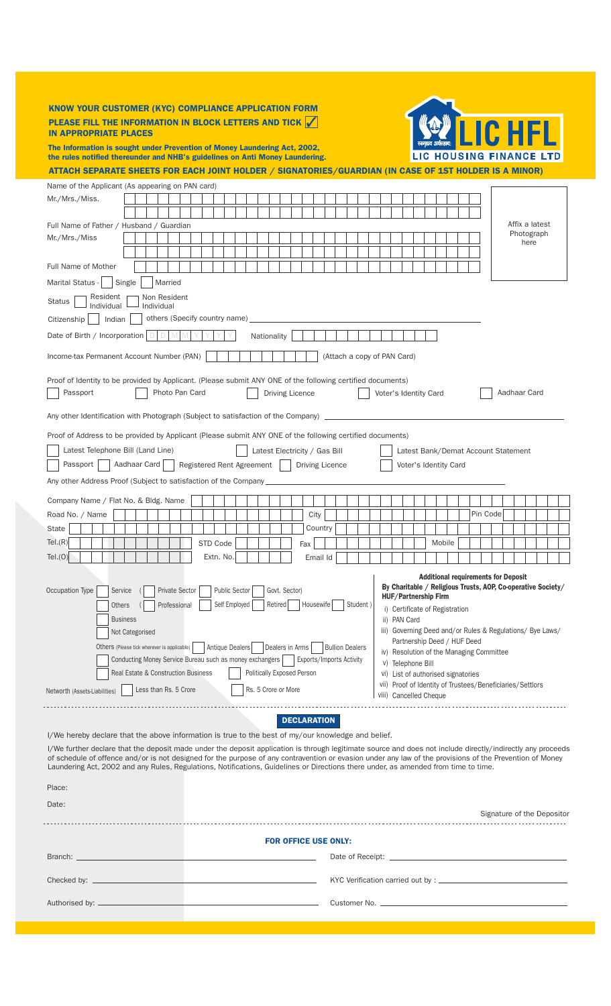### KNOW YOUR CUSTOMER (KYC) COMPLIANCE APPLICATION FORM PLEASE FILL THE INFORMATION IN BLOCK LETTERS AND TICK  $\sqrt{}$ IN APPROPRIATE PLACES

The Information is sought under Prevention of Money Laundering Act, 2002, the rules notified thereunder and NHB's guidelines on Anti Money Laundering.

ATTACH SEPARATE SHEETS FOR EACH JOINT HOLDER / SIGNATORIES/GUARDIAN (IN CASE OF 1ST HOLDER IS A MINOR)

5

LIC HOUSING FINANCE LTD

| Mr./Mrs./Miss.                                                                                                                                                                                                                                                                                                                                                                                                                                                                                                                                                                                                                                                       |                                                                                                                                                                                                                                                                                                                                                                                                                                                                                                                                                                                                                                                                                                                                                                                                                                                                                                                                                                                                                                                                                                                                                                                                                                                                                                                                                                                                                                                                                                                                                                                                                                                                                                       |  |  |  |  |  |  |  |  |  |  |  |  |  |  |  |  |  |  |  |  |  |  |  |
|----------------------------------------------------------------------------------------------------------------------------------------------------------------------------------------------------------------------------------------------------------------------------------------------------------------------------------------------------------------------------------------------------------------------------------------------------------------------------------------------------------------------------------------------------------------------------------------------------------------------------------------------------------------------|-------------------------------------------------------------------------------------------------------------------------------------------------------------------------------------------------------------------------------------------------------------------------------------------------------------------------------------------------------------------------------------------------------------------------------------------------------------------------------------------------------------------------------------------------------------------------------------------------------------------------------------------------------------------------------------------------------------------------------------------------------------------------------------------------------------------------------------------------------------------------------------------------------------------------------------------------------------------------------------------------------------------------------------------------------------------------------------------------------------------------------------------------------------------------------------------------------------------------------------------------------------------------------------------------------------------------------------------------------------------------------------------------------------------------------------------------------------------------------------------------------------------------------------------------------------------------------------------------------------------------------------------------------------------------------------------------------|--|--|--|--|--|--|--|--|--|--|--|--|--|--|--|--|--|--|--|--|--|--|--|
|                                                                                                                                                                                                                                                                                                                                                                                                                                                                                                                                                                                                                                                                      |                                                                                                                                                                                                                                                                                                                                                                                                                                                                                                                                                                                                                                                                                                                                                                                                                                                                                                                                                                                                                                                                                                                                                                                                                                                                                                                                                                                                                                                                                                                                                                                                                                                                                                       |  |  |  |  |  |  |  |  |  |  |  |  |  |  |  |  |  |  |  |  |  |  |  |
|                                                                                                                                                                                                                                                                                                                                                                                                                                                                                                                                                                                                                                                                      |                                                                                                                                                                                                                                                                                                                                                                                                                                                                                                                                                                                                                                                                                                                                                                                                                                                                                                                                                                                                                                                                                                                                                                                                                                                                                                                                                                                                                                                                                                                                                                                                                                                                                                       |  |  |  |  |  |  |  |  |  |  |  |  |  |  |  |  |  |  |  |  |  |  |  |
| Mr./Mrs./Miss                                                                                                                                                                                                                                                                                                                                                                                                                                                                                                                                                                                                                                                        |                                                                                                                                                                                                                                                                                                                                                                                                                                                                                                                                                                                                                                                                                                                                                                                                                                                                                                                                                                                                                                                                                                                                                                                                                                                                                                                                                                                                                                                                                                                                                                                                                                                                                                       |  |  |  |  |  |  |  |  |  |  |  |  |  |  |  |  |  |  |  |  |  |  |  |
|                                                                                                                                                                                                                                                                                                                                                                                                                                                                                                                                                                                                                                                                      |                                                                                                                                                                                                                                                                                                                                                                                                                                                                                                                                                                                                                                                                                                                                                                                                                                                                                                                                                                                                                                                                                                                                                                                                                                                                                                                                                                                                                                                                                                                                                                                                                                                                                                       |  |  |  |  |  |  |  |  |  |  |  |  |  |  |  |  |  |  |  |  |  |  |  |
| <b>Full Name of Mother</b>                                                                                                                                                                                                                                                                                                                                                                                                                                                                                                                                                                                                                                           |                                                                                                                                                                                                                                                                                                                                                                                                                                                                                                                                                                                                                                                                                                                                                                                                                                                                                                                                                                                                                                                                                                                                                                                                                                                                                                                                                                                                                                                                                                                                                                                                                                                                                                       |  |  |  |  |  |  |  |  |  |  |  |  |  |  |  |  |  |  |  |  |  |  |  |
| Marital Status -                                                                                                                                                                                                                                                                                                                                                                                                                                                                                                                                                                                                                                                     | Affix a latest<br>Photograph<br>here<br>Single<br>Married<br>Resident<br>Non Resident<br>Individual<br>Individual<br>others (Specify country name)<br>Indian<br>D<br>Nationality<br>(Attach a copy of PAN Card)<br>Passport<br>Photo Pan Card<br>Aadhaar Card<br><b>Driving Licence</b><br>Voter's Identity Card<br>Latest Telephone Bill (Land Line)<br>Latest Electricity / Gas Bill<br>Latest Bank/Demat Account Statement<br>Aadhaar Card<br>Passport  <br>Registered Rent Agreement<br>Driving Licence<br>Voter's Identity Card<br>Pin Code<br>City<br>Country<br>STD Code<br>Mobile<br>Fax<br>Extn. No.<br>Email Id<br><b>Additional requirements for Deposit</b><br>By Charitable / Religious Trusts, AOP, Co-operative Society/<br>Private Sector<br><b>Public Sector</b><br>Govt. Sector)<br>Service<br><b>HUF/Partnership Firm</b><br>Self Employed<br>Retired<br>Housewife<br>Professional<br>Student)<br>Others<br>i) Certificate of Registration<br><b>Business</b><br>ii) PAN Card<br>iii) Governing Deed and/or Rules & Regulations/ Bye Laws/<br>Not Categorised<br>Partnership Deed / HUF Deed<br>Antique Dealers<br>Others (Please tick wherever is applicable)<br>Dealers in Arms<br><b>Bullion Dealers</b><br>iv) Resolution of the Managing Committee<br>Conducting Money Service Bureau such as money exchangers     Exports/Imports Activity<br>v) Telephone Bill<br><b>Politically Exposed Person</b><br>Real Estate & Construction Business<br>vi) List of authorised signatories<br>vii) Proof of Identity of Trustees/Beneficiaries/Settlors<br>Rs. 5 Crore or More<br>Less than Rs. 5 Crore<br>viii) Cancelled Cheque<br><b>DECLARATION</b><br>Signature of the Depositor |  |  |  |  |  |  |  |  |  |  |  |  |  |  |  |  |  |  |  |  |  |  |  |
| <b>FOR OFFICE USE ONLY:</b>                                                                                                                                                                                                                                                                                                                                                                                                                                                                                                                                                                                                                                          |                                                                                                                                                                                                                                                                                                                                                                                                                                                                                                                                                                                                                                                                                                                                                                                                                                                                                                                                                                                                                                                                                                                                                                                                                                                                                                                                                                                                                                                                                                                                                                                                                                                                                                       |  |  |  |  |  |  |  |  |  |  |  |  |  |  |  |  |  |  |  |  |  |  |  |
| Date:                                                                                                                                                                                                                                                                                                                                                                                                                                                                                                                                                                                                                                                                |                                                                                                                                                                                                                                                                                                                                                                                                                                                                                                                                                                                                                                                                                                                                                                                                                                                                                                                                                                                                                                                                                                                                                                                                                                                                                                                                                                                                                                                                                                                                                                                                                                                                                                       |  |  |  |  |  |  |  |  |  |  |  |  |  |  |  |  |  |  |  |  |  |  |  |
| Name of the Applicant (As appearing on PAN card)<br>Full Name of Father / Husband / Guardian<br>I/We hereby declare that the above information is true to the best of my/our knowledge and belief.<br>I/We further declare that the deposit made under the deposit application is through legitimate source and does not include directly/indirectly any proceeds<br>of schedule of offence and/or is not designed for the purpose of any contravention or evasion under any law of the provisions of the Prevention of Money<br>Laundering Act, 2002 and any Rules, Regulations, Notifications, Guidelines or Directions there under, as amended from time to time. |                                                                                                                                                                                                                                                                                                                                                                                                                                                                                                                                                                                                                                                                                                                                                                                                                                                                                                                                                                                                                                                                                                                                                                                                                                                                                                                                                                                                                                                                                                                                                                                                                                                                                                       |  |  |  |  |  |  |  |  |  |  |  |  |  |  |  |  |  |  |  |  |  |  |  |
|                                                                                                                                                                                                                                                                                                                                                                                                                                                                                                                                                                                                                                                                      |                                                                                                                                                                                                                                                                                                                                                                                                                                                                                                                                                                                                                                                                                                                                                                                                                                                                                                                                                                                                                                                                                                                                                                                                                                                                                                                                                                                                                                                                                                                                                                                                                                                                                                       |  |  |  |  |  |  |  |  |  |  |  |  |  |  |  |  |  |  |  |  |  |  |  |
| <b>Status</b><br>Citizenship<br>Date of Birth / Incorporation<br>Income-tax Permanent Account Number (PAN)<br>Proof of Identity to be provided by Applicant. (Please submit ANY ONE of the following certified documents)<br>Any other Identification with Photograph (Subject to satisfaction of the Company)<br>Proof of Address to be provided by Applicant (Please submit ANY ONE of the following certified documents)<br>Any other Address Proof (Subject to satisfaction of the Company_<br>Company Name / Flat No. & Bldg. Name                                                                                                                              |                                                                                                                                                                                                                                                                                                                                                                                                                                                                                                                                                                                                                                                                                                                                                                                                                                                                                                                                                                                                                                                                                                                                                                                                                                                                                                                                                                                                                                                                                                                                                                                                                                                                                                       |  |  |  |  |  |  |  |  |  |  |  |  |  |  |  |  |  |  |  |  |  |  |  |
|                                                                                                                                                                                                                                                                                                                                                                                                                                                                                                                                                                                                                                                                      |                                                                                                                                                                                                                                                                                                                                                                                                                                                                                                                                                                                                                                                                                                                                                                                                                                                                                                                                                                                                                                                                                                                                                                                                                                                                                                                                                                                                                                                                                                                                                                                                                                                                                                       |  |  |  |  |  |  |  |  |  |  |  |  |  |  |  |  |  |  |  |  |  |  |  |
|                                                                                                                                                                                                                                                                                                                                                                                                                                                                                                                                                                                                                                                                      |                                                                                                                                                                                                                                                                                                                                                                                                                                                                                                                                                                                                                                                                                                                                                                                                                                                                                                                                                                                                                                                                                                                                                                                                                                                                                                                                                                                                                                                                                                                                                                                                                                                                                                       |  |  |  |  |  |  |  |  |  |  |  |  |  |  |  |  |  |  |  |  |  |  |  |
|                                                                                                                                                                                                                                                                                                                                                                                                                                                                                                                                                                                                                                                                      |                                                                                                                                                                                                                                                                                                                                                                                                                                                                                                                                                                                                                                                                                                                                                                                                                                                                                                                                                                                                                                                                                                                                                                                                                                                                                                                                                                                                                                                                                                                                                                                                                                                                                                       |  |  |  |  |  |  |  |  |  |  |  |  |  |  |  |  |  |  |  |  |  |  |  |
|                                                                                                                                                                                                                                                                                                                                                                                                                                                                                                                                                                                                                                                                      |                                                                                                                                                                                                                                                                                                                                                                                                                                                                                                                                                                                                                                                                                                                                                                                                                                                                                                                                                                                                                                                                                                                                                                                                                                                                                                                                                                                                                                                                                                                                                                                                                                                                                                       |  |  |  |  |  |  |  |  |  |  |  |  |  |  |  |  |  |  |  |  |  |  |  |
|                                                                                                                                                                                                                                                                                                                                                                                                                                                                                                                                                                                                                                                                      |                                                                                                                                                                                                                                                                                                                                                                                                                                                                                                                                                                                                                                                                                                                                                                                                                                                                                                                                                                                                                                                                                                                                                                                                                                                                                                                                                                                                                                                                                                                                                                                                                                                                                                       |  |  |  |  |  |  |  |  |  |  |  |  |  |  |  |  |  |  |  |  |  |  |  |
|                                                                                                                                                                                                                                                                                                                                                                                                                                                                                                                                                                                                                                                                      |                                                                                                                                                                                                                                                                                                                                                                                                                                                                                                                                                                                                                                                                                                                                                                                                                                                                                                                                                                                                                                                                                                                                                                                                                                                                                                                                                                                                                                                                                                                                                                                                                                                                                                       |  |  |  |  |  |  |  |  |  |  |  |  |  |  |  |  |  |  |  |  |  |  |  |
| Road No. / Name                                                                                                                                                                                                                                                                                                                                                                                                                                                                                                                                                                                                                                                      |                                                                                                                                                                                                                                                                                                                                                                                                                                                                                                                                                                                                                                                                                                                                                                                                                                                                                                                                                                                                                                                                                                                                                                                                                                                                                                                                                                                                                                                                                                                                                                                                                                                                                                       |  |  |  |  |  |  |  |  |  |  |  |  |  |  |  |  |  |  |  |  |  |  |  |
| State                                                                                                                                                                                                                                                                                                                                                                                                                                                                                                                                                                                                                                                                |                                                                                                                                                                                                                                                                                                                                                                                                                                                                                                                                                                                                                                                                                                                                                                                                                                                                                                                                                                                                                                                                                                                                                                                                                                                                                                                                                                                                                                                                                                                                                                                                                                                                                                       |  |  |  |  |  |  |  |  |  |  |  |  |  |  |  |  |  |  |  |  |  |  |  |
| Tel.(R)                                                                                                                                                                                                                                                                                                                                                                                                                                                                                                                                                                                                                                                              |                                                                                                                                                                                                                                                                                                                                                                                                                                                                                                                                                                                                                                                                                                                                                                                                                                                                                                                                                                                                                                                                                                                                                                                                                                                                                                                                                                                                                                                                                                                                                                                                                                                                                                       |  |  |  |  |  |  |  |  |  |  |  |  |  |  |  |  |  |  |  |  |  |  |  |
| Tel.(O)                                                                                                                                                                                                                                                                                                                                                                                                                                                                                                                                                                                                                                                              |                                                                                                                                                                                                                                                                                                                                                                                                                                                                                                                                                                                                                                                                                                                                                                                                                                                                                                                                                                                                                                                                                                                                                                                                                                                                                                                                                                                                                                                                                                                                                                                                                                                                                                       |  |  |  |  |  |  |  |  |  |  |  |  |  |  |  |  |  |  |  |  |  |  |  |
| Occupation Type<br>Networth (Assets-Liabilities)                                                                                                                                                                                                                                                                                                                                                                                                                                                                                                                                                                                                                     |                                                                                                                                                                                                                                                                                                                                                                                                                                                                                                                                                                                                                                                                                                                                                                                                                                                                                                                                                                                                                                                                                                                                                                                                                                                                                                                                                                                                                                                                                                                                                                                                                                                                                                       |  |  |  |  |  |  |  |  |  |  |  |  |  |  |  |  |  |  |  |  |  |  |  |
| Place:                                                                                                                                                                                                                                                                                                                                                                                                                                                                                                                                                                                                                                                               |                                                                                                                                                                                                                                                                                                                                                                                                                                                                                                                                                                                                                                                                                                                                                                                                                                                                                                                                                                                                                                                                                                                                                                                                                                                                                                                                                                                                                                                                                                                                                                                                                                                                                                       |  |  |  |  |  |  |  |  |  |  |  |  |  |  |  |  |  |  |  |  |  |  |  |
|                                                                                                                                                                                                                                                                                                                                                                                                                                                                                                                                                                                                                                                                      |                                                                                                                                                                                                                                                                                                                                                                                                                                                                                                                                                                                                                                                                                                                                                                                                                                                                                                                                                                                                                                                                                                                                                                                                                                                                                                                                                                                                                                                                                                                                                                                                                                                                                                       |  |  |  |  |  |  |  |  |  |  |  |  |  |  |  |  |  |  |  |  |  |  |  |
|                                                                                                                                                                                                                                                                                                                                                                                                                                                                                                                                                                                                                                                                      |                                                                                                                                                                                                                                                                                                                                                                                                                                                                                                                                                                                                                                                                                                                                                                                                                                                                                                                                                                                                                                                                                                                                                                                                                                                                                                                                                                                                                                                                                                                                                                                                                                                                                                       |  |  |  |  |  |  |  |  |  |  |  |  |  |  |  |  |  |  |  |  |  |  |  |
|                                                                                                                                                                                                                                                                                                                                                                                                                                                                                                                                                                                                                                                                      |                                                                                                                                                                                                                                                                                                                                                                                                                                                                                                                                                                                                                                                                                                                                                                                                                                                                                                                                                                                                                                                                                                                                                                                                                                                                                                                                                                                                                                                                                                                                                                                                                                                                                                       |  |  |  |  |  |  |  |  |  |  |  |  |  |  |  |  |  |  |  |  |  |  |  |
|                                                                                                                                                                                                                                                                                                                                                                                                                                                                                                                                                                                                                                                                      |                                                                                                                                                                                                                                                                                                                                                                                                                                                                                                                                                                                                                                                                                                                                                                                                                                                                                                                                                                                                                                                                                                                                                                                                                                                                                                                                                                                                                                                                                                                                                                                                                                                                                                       |  |  |  |  |  |  |  |  |  |  |  |  |  |  |  |  |  |  |  |  |  |  |  |
|                                                                                                                                                                                                                                                                                                                                                                                                                                                                                                                                                                                                                                                                      |                                                                                                                                                                                                                                                                                                                                                                                                                                                                                                                                                                                                                                                                                                                                                                                                                                                                                                                                                                                                                                                                                                                                                                                                                                                                                                                                                                                                                                                                                                                                                                                                                                                                                                       |  |  |  |  |  |  |  |  |  |  |  |  |  |  |  |  |  |  |  |  |  |  |  |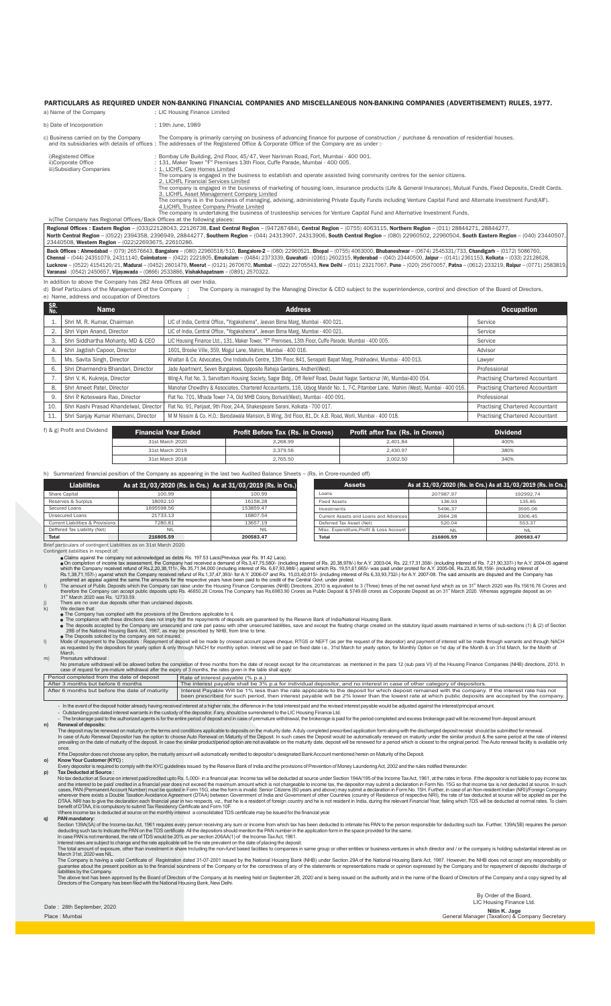#### PARTICULARS AS REQUIRED UNDER NON-BANKING FINANCIAL COMPANIES AND MISCELLANEOUS NON-BANKING COMPANIES (ADVERTISEMENT) RULES, 1977.

| a) Name of the Company                                                    | : LIC Housing Finance Limited                                                                                                                                                                                                                                                                                                                                                                                                                                                                                                                                                                                                                                                                                                                                                                            |
|---------------------------------------------------------------------------|----------------------------------------------------------------------------------------------------------------------------------------------------------------------------------------------------------------------------------------------------------------------------------------------------------------------------------------------------------------------------------------------------------------------------------------------------------------------------------------------------------------------------------------------------------------------------------------------------------------------------------------------------------------------------------------------------------------------------------------------------------------------------------------------------------|
| b) Date of Incorporation                                                  | : 19th June, 1989                                                                                                                                                                                                                                                                                                                                                                                                                                                                                                                                                                                                                                                                                                                                                                                        |
| c) Business carried on by the Company                                     | The Company is primarily carrying on business of advancing finance for purpose of construction / purchase & renovation of residential houses.<br>and its subsidiaries with details of offices: The addresses of the Registered Office & Corporate Office of the Company are as under:-                                                                                                                                                                                                                                                                                                                                                                                                                                                                                                                   |
| i)Registered Office<br>ii)Corporate Office<br>iii)Subsidiary Companies    | : Bombay Life Building, 2nd Floor, 45/47, Veer Nariman Road, Fort, Mumbai - 400 001.<br>: 131. Maker Tower "F" Premises 13th Floor. Cuffe Parade. Mumbai - 400 005.<br>: 1. LICHFL Care Homes Limited<br>The company is engaged in the business to establish and operate assisted living community centres for the senior citizens.<br>2. LICHFL Financial Services Limited<br>The company is engaged in the business of marketing of housing loan, insurance products (Life & General Insurance), Mutual Funds, Fixed Deposits, Credit Cards.<br>3. LICHFL Asset Management Company Limited<br>The company is in the business of managing, advising, administering Private Equity Funds including Venture Capital Fund and Alternate Investment Fund(AIF).<br>4. LICHFL Trustee Company Private Limited |
| iv)The Company has Regional Offices/Back Offices at the following places: | The company is undertaking the business of trusteeship services for Venture Capital Fund and Alternative Investment Funds.                                                                                                                                                                                                                                                                                                                                                                                                                                                                                                                                                                                                                                                                               |

Regional Offices : Eastern Region – (033)22128043, 22126738, East Central Region – (947287484), Central Region – (0755) 4063115, Northern Region – (011) 28844271, 28844277,<br>North Central Region – (0522) 2394358, 23969949, Eastern Region – (033)22128043, 22126738, East Central Region – (947287484), Central Region – (0755) 4063115, Northern Region – (011) 28844271, 28844277,

**Back Offices : Ahmedabad –** (079) 26576643, **Bangalore – (**080) 22960518/510, **Bangalore-2 –** (080) 22960521, **Bhopal –** (0755) 4063000, Bhubaneshwar – (0674) 2545331/733, Chandigarh – (0172) 5086760,<br>Chennai – (044) 243 **Ahmedabad –** (079) 26576643, **Bangalore –** (080) 22960518/510, **Bangalore-2 –** (080) 22960521, **Bhopal –** (0755) 4063000, **Bhubaneshwar –** (0674) 2545331/733, Chandigarh – (0172) 5086760,

In addition to above the Company has 282 Area Offices all over India.<br>d) Brief Particulars of the Management of the Company : The Company is managed by the Managing Director & CEO subject to the superintendence, control an e) Name, address and occupation of Directors

| SR.<br>No. | <b>Name</b>                            | <b>Address</b>                                                                                                                     | <b>Occupation</b>                      |
|------------|----------------------------------------|------------------------------------------------------------------------------------------------------------------------------------|----------------------------------------|
|            | Shri M. R. Kumar, Chairman             | LIC of India, Central Office, "Yogakshema", Jeevan Bima Marg, Mumbai - 400 021.                                                    | Service                                |
|            | Shri Vipin Anand, Director             | LIC of India, Central Office, "Yogakshema", Jeevan Bima Marg, Mumbai - 400 021.                                                    | Service                                |
| 3.         | Shri Siddhartha Mohanty, MD & CEO      | LIC Housing Finance Ltd., 131, Maker Tower, "F" Premises, 13th Floor, Cuffe Parade, Mumbai - 400 005.                              | Service                                |
| 4.         | Shri Jagdish Capoor, Director          | 1601, Brooke Ville, 359, Mogul Lane, Mahim, Mumbai - 400 016.                                                                      | Advisor                                |
| 5.         | Ms. Savita Singh, Director             | Khaitan & Co. Advocates, One Indiabulls Centre, 13th Floor, 841, Senapati Bapat Marg, Prabhadevi, Mumbai - 400 013.                | Lawyer                                 |
| 6.         | Shri Dharmendra Bhandari, Director     | Jade Apartment, Seven Bungalows, Opposite Raheja Gardens, Andheri(West).                                                           | Professional                           |
|            | Shri V. K. Kukreja, Director           | Wing-A, Flat No. 3, Sarvottam Housing Society, Sagar Bldg., Off Releif Road, Daulat Nagar, Santacruz (W), Mumbai-400 054.          | <b>Practising Chartered Accountant</b> |
| 8.         | Shri Ameet Patel, Director             | Manohar Chowdhry & Associates, Chartered Accountants, 116, Udyog Mandir No. 1, 7-C, Pitamber Lane, Mahim (West), Mumbai - 400 016. | <b>Practising Chartered Accountant</b> |
| 9.         | Shri P. Koteswara Rao, Director        | Flat No. 701, Mhada Tower 7-A, Old MHB Colony, Borivali(West), Mumbai - 400 091.                                                   | Professional                           |
| 10.        | Shri Kashi Prasad Khandelwal, Director | Flat No. 91, Parijaat, 9th Floor, 24-A, Shakespeare Sarani, Kolkata - 700 017.                                                     | <b>Practising Chartered Accountant</b> |
| 11.        | Shri Sanjay Kumar Khemani, Director    | M M Nissim & Co. H.O.: Barodawala Mansion, B Wing, 3rd Floor, 81, Dr. A.B. Road, Worli, Mumbai - 400 018.                          | <b>Practising Chartered Accountant</b> |
|            | f) & g) Profit and Dividend            | <b>Financial Year Ended</b><br><b>Profit Before Tax (Rs. in Crores)</b><br><b>Profit after Tax (Rs. in Crores)</b>                 | <b>Dividend</b>                        |

| March 2020<br>. | 268.99<br>. | $\Lambda$ <sup>01</sup><br>1.84 | 400% |
|-----------------|-------------|---------------------------------|------|
| March 2010      | ,379.56     | 430.97                          | 380% |
| 0015            |             |                                 | 340% |

### h) Summarized financial position of the Company as appearing in the last two Audited Balance Sheets – (Rs. in Crore-rounded off) L

| <b>Liabilities</b>               | As at 31/03/2020 (Rs. in Crs.) As at 31/03/2019 (Rs. in Crs.) |           | <b>Assets</b>                           | As at 31/03/2020 (Rs. in Crs.) As at 31/03/2019 ( |  |
|----------------------------------|---------------------------------------------------------------|-----------|-----------------------------------------|---------------------------------------------------|--|
| Share Capital                    | 100.99                                                        | 100.99    | Loans                                   | 207987.97                                         |  |
| Reserves & Surplus               | 18092.10                                                      | 16158.28  | <b>Fixed Assets</b>                     | 136.93                                            |  |
| Secured Loans                    | 1695598.56                                                    | 153859.47 | Investments                             | 5496.37                                           |  |
| Unsecured Loans                  | 21733.13                                                      | 16807.54  | Current Assets and Loans and Advances   | 2664.28                                           |  |
| Current Liabilities & Provisions | 7280.81                                                       | 13657.19  | Deferred Tax Asset (Net)                | 520.04                                            |  |
| Deffered Tax Liability (Net)     | NII                                                           | NII       | Misc. Expenditure.Profit & Loss Account | NII                                               |  |
| <b>Total</b>                     | 216805.59                                                     | 200583.47 | <b>Total</b>                            | 216805.59                                         |  |

| <b>Assets</b>                           |            | As at 31/03/2020 (Rs. in Crs.) As at 31/03/2019 (Rs. in Crs.) |
|-----------------------------------------|------------|---------------------------------------------------------------|
| I nans                                  | 207987.97  | 192992.74                                                     |
| <b>Fixed Assets</b>                     | 136.93     | 135.85                                                        |
| Investments                             | 5496.37    | 3595.06                                                       |
| Current Assets and Loans and Advances   | 2664.28    | 3306.45                                                       |
| Deferred Tax Asset (Net)                | 520.04     | 553.37                                                        |
| Misc. Expenditure.Profit & Loss Account | <b>NIL</b> | NII                                                           |
| <b>Total</b>                            | 216805.59  | 200583.47                                                     |

Brief particulars of contingent Liabilities as on 31st March 2020. Contingent liabilities in respect of:

● Claims against the company not acknowledged as debts. Start 26.3 Lacs(Previous year Rs. 91.42 Lacs). Lacs(Previous year Rs. 20,38,978/-) for A.Y. 2003-04, Rs. 22,17,31,358/- (including interest of Rs. 7,21,90,337/-) fo

The amount of Public Deposits which the Company can raise under the Housing Finance Companies (NHB) Directions, 2010 is equivalent to 3 (Three) times of the net owned fund which as on 31" March 2020 was Rs.15616.76 Crores

 $\ddot{\bullet}$ 

■The Compliance with these directions does not imply that the repayments of deposits are guaranteed by the Reserve Bank of India/National Housing Bank.<br>■The deposits accepted by the Company are unsecured and rank pari pas  $\bullet$ 

No premature withdraval will be allowed before the completion of three months from the date of receipt except for the circumstances as mentioned in the para 12 (sub para VI) of the Housing Finance Companies (NHB) direction

| Period completed from the date of deposit      | Rate of interest pavable (% p.a.)                                                                                                                                                                                                                                                                        |
|------------------------------------------------|----------------------------------------------------------------------------------------------------------------------------------------------------------------------------------------------------------------------------------------------------------------------------------------------------------|
| After 3 months but before 6 months             | The interest payable shall be 3% p.a for individual depositor, and no interest in case of other category of depositors.                                                                                                                                                                                  |
| After 6 months but before the date of maturity | Interest Payable Will be 1% less than the rate applicable to the deposit for which deposit remained with the company. If the interest rate has not<br>been prescribed for such period, then interest payable will be 2% lower than the lowest rate at which public deposits are accepted by the company. |
|                                                | To the cross of the decemberate because the distribution of the contract the Difference is the following interest and the contract contract and he collected and here it and a collected the contract the interesting in a col                                                                           |

- In the evolutional means of the deposition of the deposition filerest at a higher rate, the difference in the bust interest parable would be adjusted against the interestip incipal amount.<br>- Outstanding post-dated intere once.<br>If the Depositor does not choose any option, the maturity amount will automatically remitted to depositor's designated Bank Account mentioned herein on Maturity of the Deposit.<br>(Know Your Customer (KYC) :

Exery deposition is required to comply with the KYC guidelines issued by the Reserve Bank of India and the provisions of Prevention of Money Laundering Act, 2002 and the rules notified thereunder.<br>No tax deduction at Sourc

Interest rates are subject to change and the rate applicable will be the rate prevalent on the date of placing the deposit.<br>The total amount of exposure, other than investment in share Including the non-fund based faciliti

The Company is having a valid Certificate of Registration dated 31-07-2001 issued by the National Housing Bank (NHB) under Section 29A of the National Housing Bank Act, 1987. However, the NHB does not accept any responsibi

Date : 28th September, 2020

Place : Mumbai

By Order of the Board, LIC Housing Finance Ltd.

**Nitin K. Jage**<br>General Manager (Taxation) & Company Secretary